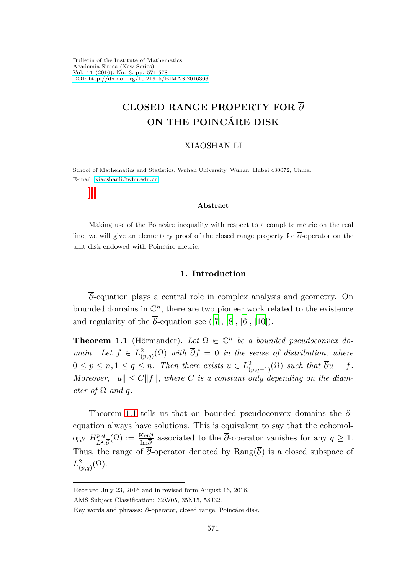Bulletin of the Institute of Mathematics Academia Sinica (New Series) Vol. 11 (2016), No. 3, pp. 571-578 [DOI: http://dx.doi.org/10.21915/BIMAS.2016303](http://dx.doi.org/10.21915/BIMAS.2016303)

# CLOSED RANGE PROPERTY FOR ∂ ON THE POINCÁRE DISK

## XIAOSHAN LI

School of Mathematics and Statistics, Wuhan University, Wuhan, Hubei 430072, China. E-mail: [xiaoshanli@whu.edu.cn](mailto:xiaoshanli@whu.edu.cn)

#### Abstract

Making use of the Poincáre inequality with respect to a complete metric on the real line, we will give an elementary proof of the closed range property for ∂-operator on the unit disk endowed with Poincáre metric.

## 1. Introduction

∂-equation plays a central role in complex analysis and geometry. On bounded domains in  $\mathbb{C}^n$ , there are two pioneer work related to the existence and regularity of the  $\overline{\partial}$ -equation see ([\[7\]](#page-6-0), [\[8\]](#page-6-1), [\[6](#page-6-2)], [\[10\]](#page-6-3)).

<span id="page-0-0"></span>**Theorem 1.1** (Hörmander). Let  $\Omega \in \mathbb{C}^n$  be a bounded pseudoconvex domain. Let  $f \in L^2_{(p,q)}(\Omega)$  with  $\overline{\partial} f = 0$  in the sense of distribution, where  $0 \leq p \leq n, 1 \leq q \leq n$ . Then there exists  $u \in L^2_{(p,q-1)}(\Omega)$  such that  $\overline{\partial}u = f$ . Moreover,  $||u|| \leq C||f||$ , where C is a constant only depending on the diameter of  $\Omega$  and q.

Theorem [1.1](#page-0-0) tells us that on bounded pseudoconvex domains the ∂ equation always have solutions. This is equivalent to say that the cohomology  $H^{p,q}_{r^2}$  $L^{\{p,q\}}_{L^2,\overline{\partial}}(\Omega) := \frac{\text{Ker}\partial}{\text{Im}\overline{\partial}}$  associated to the  $\overline{\partial}$ -operator vanishes for any  $q \geq 1$ . Thus, the range of  $\overline{\partial}$ -operator denoted by Rang( $\overline{\partial}$ ) is a closed subspace of  $L^2_{(p,q)}(\Omega)$ .

Received July 23, 2016 and in revised form August 16, 2016.

AMS Subject Classification: 32W05, 35N15, 58J32.

Key words and phrases:  $\overline{\partial}$ -operator, closed range, Poincáre disk.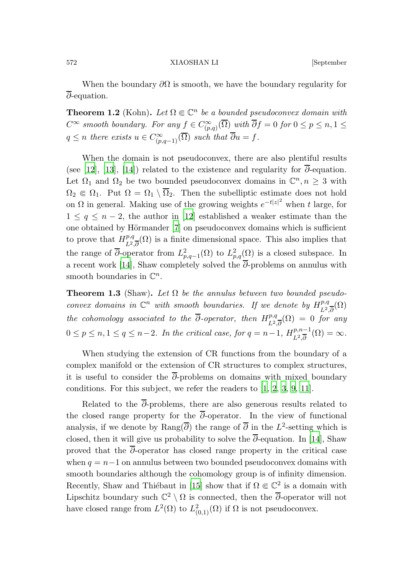572 XIAOSHAN LI [September

When the boundary  $\partial\Omega$  is smooth, we have the boundary regularity for  $\overline{\partial}$ -equation.

**Theorem 1.2** (Kohn). Let  $\Omega \in \mathbb{C}^n$  be a bounded pseudoconvex domain with  $C^{\infty}$  smooth boundary. For any  $f \in C^{\infty}_{(p,q)}(\overline{\Omega})$  with  $\overline{\partial}f = 0$  for  $0 \leq p \leq n, 1 \leq n$  $q \leq n$  there exists  $u \in C^{\infty}_{(p,q-1)}(\overline{\Omega})$  such that  $\overline{\partial}u = f$ .

When the domain is not pseudoconvex, there are also plentiful results (see [\[12\]](#page-6-4), [\[13](#page-6-5)], [\[14](#page-7-0)]) related to the existence and regularity for  $\overline{\partial}$ -equation. Let  $\Omega_1$  and  $\Omega_2$  be two bounded pseudoconvex domains in  $\mathbb{C}^n, n \geq 3$  with  $\Omega_2 \in \Omega_1$ . Put  $\Omega = \Omega_1 \setminus \overline{\Omega}_2$ . Then the subelliptic estimate does not hold on  $\Omega$  in general. Making use of the growing weights  $e^{-t|z|^2}$  when t large, for  $1 \leq q \leq n-2$ , the author in [\[12\]](#page-6-4) established a weaker estimate than the one obtained by Hörmander  $[7]$  on pseudoconvex domains which is sufficient to prove that  $H_{I2}^{p,q}$  $L^{\rho,q}_{L^2,\overline{\partial}}(\Omega)$  is a finite dimensional space. This also implies that the range of  $\overline{\partial}$ -operator from  $L^2_{p,q-1}(\Omega)$  to  $L^2_{p,q}(\Omega)$  is a closed subspace. In a recent work [\[14](#page-7-0)], Shaw completely solved the  $\overline{\partial}$ -problems on annulus with smooth boundaries in  $\mathbb{C}^n$ .

**Theorem 1.3** (Shaw). Let  $\Omega$  be the annulus between two bounded pseudoconvex domains in  $\mathbb{C}^n$  with smooth boundaries. If we denote by  $H^{p,q}_{r_1}$  $L^2,\overline{\partial}^{(1)}(\Omega)$ the cohomology associated to the  $\overline{\partial}$ -operator, then  $H^{p,q}_{r_2}$  $L^2,\overline{\partial}(\Omega) = 0$  for any  $0 \le p \le n, 1 \le q \le n-2$ . In the critical case, for  $q = n-1$ ,  $H_{L^2,\overline{\partial}}^{p,n-1}$  $L^2,\overline{\partial}^{n-1}(\Omega)=\infty.$ 

When studying the extension of CR functions from the boundary of a complex manifold or the extension of CR structures to complex structures, it is useful to consider the  $\overline{\partial}$ -problems on domains with mixed boundary conditions. For this subject, we refer the readers to [\[1,](#page-6-6) [2,](#page-6-7) [3](#page-6-8), [9](#page-6-9), [11\]](#page-6-10).

Related to the  $\overline{\partial}$ -problems, there are also generous results related to the closed range property for the  $\overline{\partial}$ -operator. In the view of functional analysis, if we denote by Rang $(\overline{\partial})$  the range of  $\overline{\partial}$  in the L<sup>2</sup>-setting which is closed, then it will give us probability to solve the  $\overline{\partial}$ -equation. In [\[14](#page-7-0)], Shaw proved that the  $\overline{\partial}$ -operator has closed range property in the critical case when  $q = n-1$  on annulus between two bounded pseudoconvex domains with smooth boundaries although the cohomology group is of infinity dimension. Recently, Shaw and Thiébaut in [\[15](#page-7-1)] show that if  $\Omega \in \mathbb{C}^2$  is a domain with Lipschitz boundary such  $\mathbb{C}^2 \setminus \Omega$  is connected, then the  $\overline{\partial}$ -operator will not have closed range from  $L^2(\Omega)$  to  $L^2_{(0,1)}(\Omega)$  if  $\Omega$  is not pseudoconvex.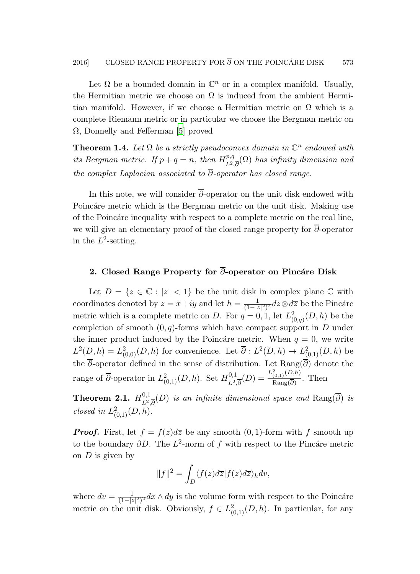Let  $\Omega$  be a bounded domain in  $\mathbb{C}^n$  or in a complex manifold. Usually, the Hermitian metric we choose on  $\Omega$  is induced from the ambient Hermitian manifold. However, if we choose a Hermitian metric on  $\Omega$  which is a complete Riemann metric or in particular we choose the Bergman metric on  $\Omega$ , Donnelly and Fefferman [\[5\]](#page-6-11) proved

**Theorem 1.4.** Let  $\Omega$  be a strictly pseudoconvex domain in  $\mathbb{C}^n$  endowed with its Bergman metric. If  $p + q = n$ , then  $H_{r_2}^{p,q}$  $L^{\rho,q}_{L^2,\overline{\partial}}(\Omega)$  has infinity dimension and the complex Laplacian associated to  $\overline{\partial}$ -operator has closed range.

In this note, we will consider  $\overline{\partial}$ -operator on the unit disk endowed with Poincáre metric which is the Bergman metric on the unit disk. Making use of the Poincáre inequality with respect to a complete metric on the real line. we will give an elementary proof of the closed range property for  $\overline{\partial}$ -operator in the  $L^2$ -setting.

# 2. Closed Range Property for  $\overline{\partial}$ -operator on Pincáre Disk

Let  $D = \{z \in \mathbb{C} : |z| < 1\}$  be the unit disk in complex plane  $\mathbb{C}$  with coordinates denoted by  $z = x + iy$  and let  $h = \frac{1}{(1-i)^2}$  $\frac{1}{(1-|z|^2)^2}$ d $z\mathop{\otimes} d\overline{z}$  be the Pincáre metric which is a complete metric on D. For  $q = 0, 1$ , let  $L^2_{(0,q)}(D, h)$  be the completion of smooth  $(0, q)$ -forms which have compact support in D under the inner product induced by the Poincáre metric. When  $q = 0$ , we write  $L^2(D, h) = L^2_{(0,0)}(D, h)$  for convenience. Let  $\overline{\partial}: L^2(D, h) \to L^2_{(0,1)}(D, h)$  be the  $\overline{\partial}$ -operator defined in the sense of distribution. Let Rang( $\overline{\partial}$ ) denote the range of  $\overline{\partial}$ -operator in  $L^2_{(0,1)}(D,h)$ . Set  $H^{0,1}_{L^2}$  $\frac{L^2(0,1)}{L^2(\overline{\partial})}(D)=\frac{L^2(0,1)}{\mathrm{Rang}(\overline{\partial})}$  $\frac{(0,1)^\infty}{\text{Rang}(\overline{\partial})}$ . Then

<span id="page-2-0"></span>Theorem 2.1.  $H_{72}^{0,1}$  $\lim_{L^2, \overline{\partial}}(D)$  is an infinite dimensional space and  $\text{Rang}(\partial)$  is closed in  $L^2_{(0,1)}(D, h)$ .

**Proof.** First, let  $f = f(z)dz$  be any smooth  $(0, 1)$ -form with f smooth up to the boundary  $\partial D$ . The  $L^2$ -norm of f with respect to the Pincáre metric on  $D$  is given by

$$
||f||^2 = \int_D \langle f(z)d\overline{z}|f(z)d\overline{z}\rangle_h dv,
$$

where  $dv = \frac{1}{(1-|z|^2)^2} dx \wedge dy$  is the volume form with respect to the Poincáre metric on the unit disk. Obviously,  $f \in L^2_{(0,1)}(D, h)$ . In particular, for any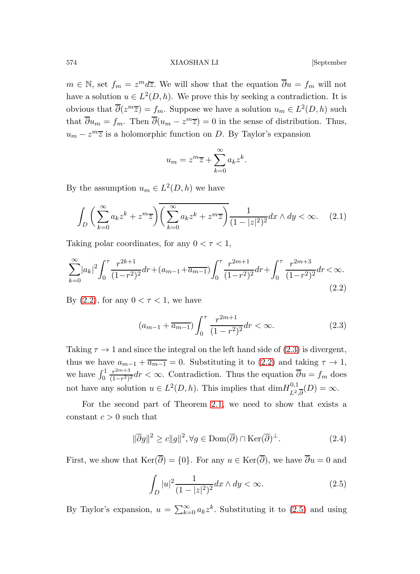### 574 XIAOSHAN LI [September

 $m \in \mathbb{N}$ , set  $f_m = z^m d\overline{z}$ . We will show that the equation  $\overline{\partial}u = f_m$  will not have a solution  $u \in L^2(D, h)$ . We prove this by seeking a contradiction. It is obvious that  $\overline{\partial}(z^m\overline{z}) = f_m$ . Suppose we have a solution  $u_m \in L^2(D, h)$  such that  $\overline{\partial} u_m = f_m$ . Then  $\overline{\partial} (u_m - z^m \overline{z}) = 0$  in the sense of distribution. Thus,  $u_m - z^m \overline{z}$  is a holomorphic function on D. By Taylor's expansion

<span id="page-3-0"></span>
$$
u_m = z^m \overline{z} + \sum_{k=0}^{\infty} a_k z^k.
$$

By the assumption  $u_m \in L^2(D, h)$  we have

$$
\int_D \left( \sum_{k=0}^{\infty} a_k z^k + z^m \overline{z} \right) \overline{\left( \sum_{k=0}^{\infty} a_k z^k + z^m \overline{z} \right)} \frac{1}{(1 - |z|^2)^2} dx \wedge dy < \infty. \tag{2.1}
$$

Taking polar coordinates, for any  $0 < \tau < 1$ ,

$$
\sum_{k=0}^{\infty} |a_k|^2 \int_0^{\tau} \frac{r^{2k+1}}{(1-r^2)^2} dr + (a_{m-1} + \overline{a_{m-1}}) \int_0^{\tau} \frac{r^{2m+1}}{(1-r^2)^2} dr + \int_0^{\tau} \frac{r^{2m+3}}{(1-r^2)^2} dr < \infty.
$$
\n(2.2)

By  $(2.2)$ , for any  $0 < \tau < 1$ , we have

<span id="page-3-1"></span>
$$
(a_{m-1} + \overline{a_{m-1}}) \int_0^\tau \frac{r^{2m+1}}{(1 - r^2)^2} dr < \infty. \tag{2.3}
$$

Taking  $\tau \to 1$  and since the integral on the left hand side of [\(2.3\)](#page-3-1) is divergent, thus we have  $a_{m-1} + \overline{a_{m-1}} = 0$ . Substituting it to [\(2.2\)](#page-3-0) and taking  $\tau \to 1$ , we have  $\int_0^1$  $r^{2m+3}$  $\frac{r^{2m+5}}{(1-r^2)^2}$  dr < ∞. Contradiction. Thus the equation  $\partial u = f_m$  does not have any solution  $u \in L^2(D, h)$ . This implies that  $\dim H_{L^2}^{0,1}$  $\frac{L^0,1}{L^2,0}(D)=\infty.$ 

For the second part of Theorem [2.1,](#page-2-0) we need to show that exists a constant  $c > 0$  such that

<span id="page-3-3"></span>
$$
\|\overline{\partial}g\|^2 \ge c\|g\|^2, \forall g \in \text{Dom}(\overline{\partial}) \cap \text{Ker}(\overline{\partial})^{\perp}.
$$
 (2.4)

First, we show that  $\text{Ker}(\overline{\partial}) = \{0\}$ . For any  $u \in \text{Ker}(\overline{\partial})$ , we have  $\overline{\partial}u = 0$  and

<span id="page-3-2"></span>
$$
\int_{D} |u|^2 \frac{1}{(1-|z|^2)^2} dx \wedge dy < \infty.
$$
 (2.5)

By Taylor's expansion,  $u = \sum_{k=0}^{\infty} a_k z^k$ . Substituting it to [\(2.5\)](#page-3-2) and using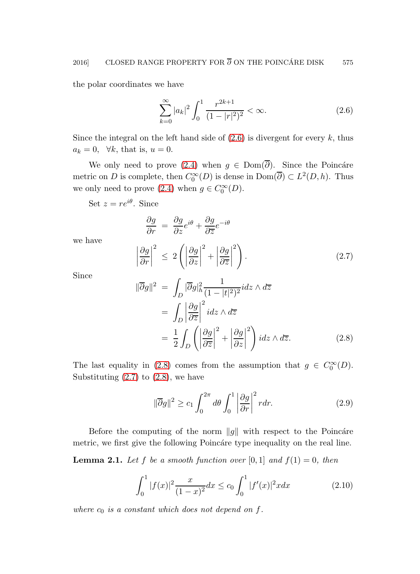the polar coordinates we have

<span id="page-4-0"></span>
$$
\sum_{k=0}^{\infty} |a_k|^2 \int_0^1 \frac{r^{2k+1}}{(1-|r|^2)^2} < \infty. \tag{2.6}
$$

Since the integral on the left hand side of  $(2.6)$  is divergent for every k, thus  $a_k = 0$ ,  $\forall k$ , that is,  $u = 0$ .

We only need to prove [\(2.4\)](#page-3-3) when  $q \in Dom(\overline{\partial})$ . Since the Poincáre metric on D is complete, then  $C_0^{\infty}(D)$  is dense in  $Dom(\overline{\partial}) \subset L^2(D, h)$ . Thus we only need to prove  $(2.4)$  when  $g \in C_0^{\infty}(D)$ .

Set  $z = re^{i\theta}$ . Since

 $\begin{array}{c} \begin{array}{c} \begin{array}{c} \begin{array}{c} \end{array}\\ \end{array} \end{array} \end{array}$ 

<span id="page-4-1"></span>
$$
\frac{\partial g}{\partial r} = \frac{\partial g}{\partial z} e^{i\theta} + \frac{\partial g}{\partial \overline{z}} e^{-i\theta}
$$
\n
$$
\frac{\partial g}{\partial r}\Big|^2 \le 2\left(\left|\frac{\partial g}{\partial z}\right|^2 + \left|\frac{\partial g}{\partial \overline{z}}\right|^2\right). \tag{2.7}
$$

Since

we have

$$
\|\overline{\partial}g\|^2 = \int_D |\overline{\partial}g|_h^2 \frac{1}{(1-|t|^2)^2} i dz \wedge d\overline{z}
$$
  
= 
$$
\int_D \left|\frac{\partial g}{\partial \overline{z}}\right|^2 i dz \wedge d\overline{z}
$$
  
= 
$$
\frac{1}{2} \int_D \left(\left|\frac{\partial g}{\partial \overline{z}}\right|^2 + \left|\frac{\partial g}{\partial z}\right|^2\right) i dz \wedge d\overline{z}.
$$
 (2.8)

The last equality in [\(2.8\)](#page-4-1) comes from the assumption that  $g \in C_0^{\infty}(D)$ . Substituting  $(2.7)$  to  $(2.8)$ , we have

<span id="page-4-4"></span><span id="page-4-2"></span>
$$
\|\overline{\partial}g\|^2 \ge c_1 \int_0^{2\pi} d\theta \int_0^1 \left|\frac{\partial g}{\partial r}\right|^2 r dr. \tag{2.9}
$$

<span id="page-4-3"></span>Before the computing of the norm  $||g||$  with respect to the Poincáre metric, we first give the following Poincate type inequality on the real line.

**Lemma 2.1.** Let f be a smooth function over [0, 1] and  $f(1) = 0$ , then

$$
\int_0^1 |f(x)|^2 \frac{x}{(1-x)^2} dx \le c_0 \int_0^1 |f'(x)|^2 x dx \tag{2.10}
$$

where  $c_0$  is a constant which does not depend on f.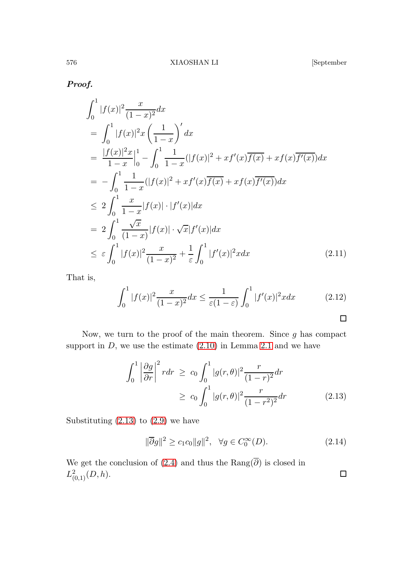Proof.

$$
\int_{0}^{1} |f(x)|^{2} \frac{x}{(1-x)^{2}} dx
$$
\n
$$
= \int_{0}^{1} |f(x)|^{2} x \left(\frac{1}{1-x}\right)^{'} dx
$$
\n
$$
= \frac{|f(x)|^{2} x}{1-x} \Big|_{0}^{1} - \int_{0}^{1} \frac{1}{1-x} (|f(x)|^{2} + xf'(x) \overline{f(x)} + xf(x) \overline{f'(x)}) dx
$$
\n
$$
= -\int_{0}^{1} \frac{1}{1-x} (|f(x)|^{2} + xf'(x) \overline{f(x)} + xf(x) \overline{f'(x)}) dx
$$
\n
$$
\leq 2 \int_{0}^{1} \frac{x}{1-x} |f(x)| \cdot |f'(x)| dx
$$
\n
$$
= 2 \int_{0}^{1} \frac{\sqrt{x}}{(1-x)} |f(x)| \cdot \sqrt{x} |f'(x)| dx
$$
\n
$$
\leq \varepsilon \int_{0}^{1} |f(x)|^{2} \frac{x}{(1-x)^{2}} + \frac{1}{\varepsilon} \int_{0}^{1} |f'(x)|^{2} x dx \qquad (2.11)
$$

That is,

$$
\int_0^1 |f(x)|^2 \frac{x}{(1-x)^2} dx \le \frac{1}{\varepsilon (1-\varepsilon)} \int_0^1 |f'(x)|^2 x dx \tag{2.12}
$$

Now, we turn to the proof of the main theorem. Since  $g$  has compact support in  $D$ , we use the estimate  $(2.10)$  in Lemma [2.1](#page-4-3) and we have

<span id="page-5-0"></span>
$$
\int_0^1 \left| \frac{\partial g}{\partial r} \right|^2 r dr \ge c_0 \int_0^1 |g(r,\theta)|^2 \frac{r}{(1-r)^2} dr
$$
  
 
$$
\ge c_0 \int_0^1 |g(r,\theta)|^2 \frac{r}{(1-r^2)^2} dr \tag{2.13}
$$

Substituting  $(2.13)$  to  $(2.9)$  we have

$$
\|\overline{\partial}g\|^2 \ge c_1c_0\|g\|^2, \quad \forall g \in C_0^{\infty}(D). \tag{2.14}
$$

We get the conclusion of [\(2.4\)](#page-3-3) and thus the  $\text{Rang}(\overline{\partial})$  is closed in  $L^2_{(0,1)}(D,h)$ .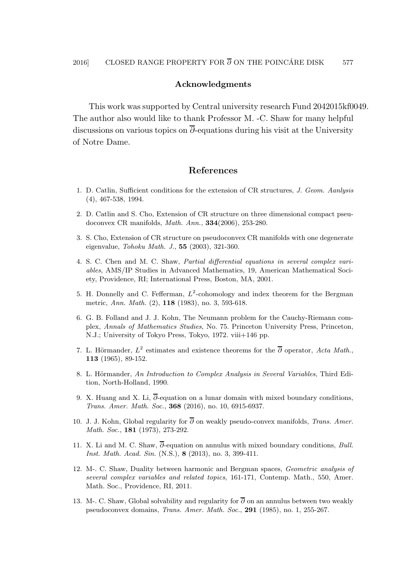### Acknowledgments

This work was supported by Central university research Fund 2042015kf0049. The author also would like to thank Professor M. -C. Shaw for many helpful discussions on various topics on  $\overline{\partial}$ -equations during his visit at the University of Notre Dame.

# References

- <span id="page-6-6"></span>1. D. Catlin, Sufficient conditions for the extension of CR structures, J. Geom. Aanlysis (4), 467-538, 1994.
- <span id="page-6-7"></span>2. D. Catlin and S. Cho, Extension of CR structure on three dimensional compact pseudoconvex CR manifolds, Math. Ann., 334(2006), 253-280.
- <span id="page-6-8"></span>3. S. Cho, Extension of CR structure on pseudoconvex CR manifolds with one degenerate eigenvalue, Tohoku Math. J., 55 (2003), 321-360.
- 4. S. C. Chen and M. C. Shaw, Partial differential equations in several complex variables, AMS/IP Studies in Advanced Mathematics, 19, American Mathematical Society, Providence, RI; International Press, Boston, MA, 2001.
- <span id="page-6-11"></span>5. H. Donnelly and C. Fefferman,  $L^2$ -cohomology and index theorem for the Bergman metric, Ann. Math. (2), 118 (1983), no. 3, 593-618.
- <span id="page-6-2"></span>6. G. B. Folland and J. J. Kohn, The Neumann problem for the Cauchy-Riemann complex, Annals of Mathematics Studies, No. 75. Princeton University Press, Princeton, N.J.; University of Tokyo Press, Tokyo, 1972. viii+146 pp.
- <span id="page-6-0"></span>7. L. Hörmander,  $L^2$  estimates and existence theorems for the  $\overline{\partial}$  operator, Acta Math., 113 (1965), 89-152.
- <span id="page-6-1"></span>8. L. Hörmander, An Introduction to Complex Analysis in Several Variables, Third Edition, North-Holland, 1990.
- <span id="page-6-9"></span>9. X. Huang and X. Li,  $\overline{\partial}$ -equation on a lunar domain with mixed boundary conditions, Trans. Amer. Math. Soc., 368 (2016), no. 10, 6915-6937.
- <span id="page-6-3"></span>10. J. J. Kohn, Global regularity for  $\overline{\partial}$  on weakly pseudo-convex manifolds, Trans. Amer. Math. Soc., 181 (1973), 273-292.
- <span id="page-6-10"></span>11. X. Li and M. C. Shaw,  $\overline{\partial}$ -equation on annulus with mixed boundary conditions, Bull. Inst. Math. Acad. Sin. (N.S.), 8 (2013), no. 3, 399-411.
- <span id="page-6-4"></span>12. M-. C. Shaw, Duality between harmonic and Bergman spaces, Geometric analysis of several complex variables and related topics, 161-171, Contemp. Math., 550, Amer. Math. Soc., Providence, RI, 2011.
- <span id="page-6-5"></span>13. M-. C. Shaw, Global solvability and regularity for  $\overline{\partial}$  on an annulus between two weakly pseudoconvex domains, Trans. Amer. Math. Soc., 291 (1985), no. 1, 255-267.